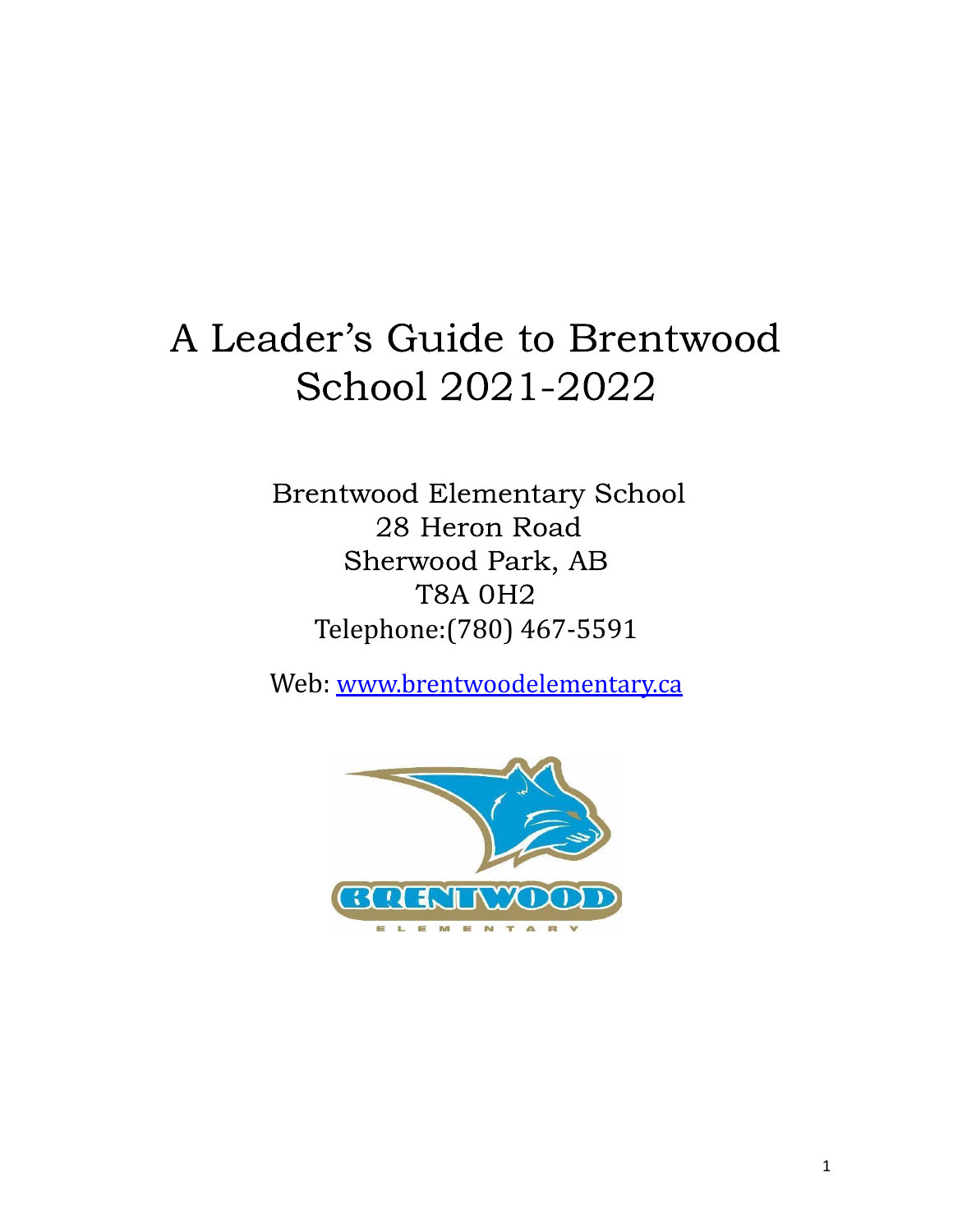# A Leader's Guide to Brentwood School 2021-2022

Brentwood Elementary School 28 Heron Road Sherwood Park, AB T8A 0H2 Telephone:(780) 467-5591

Web: [www.brentwoodelementary.ca](http://www.brentwoodelementary.ca)

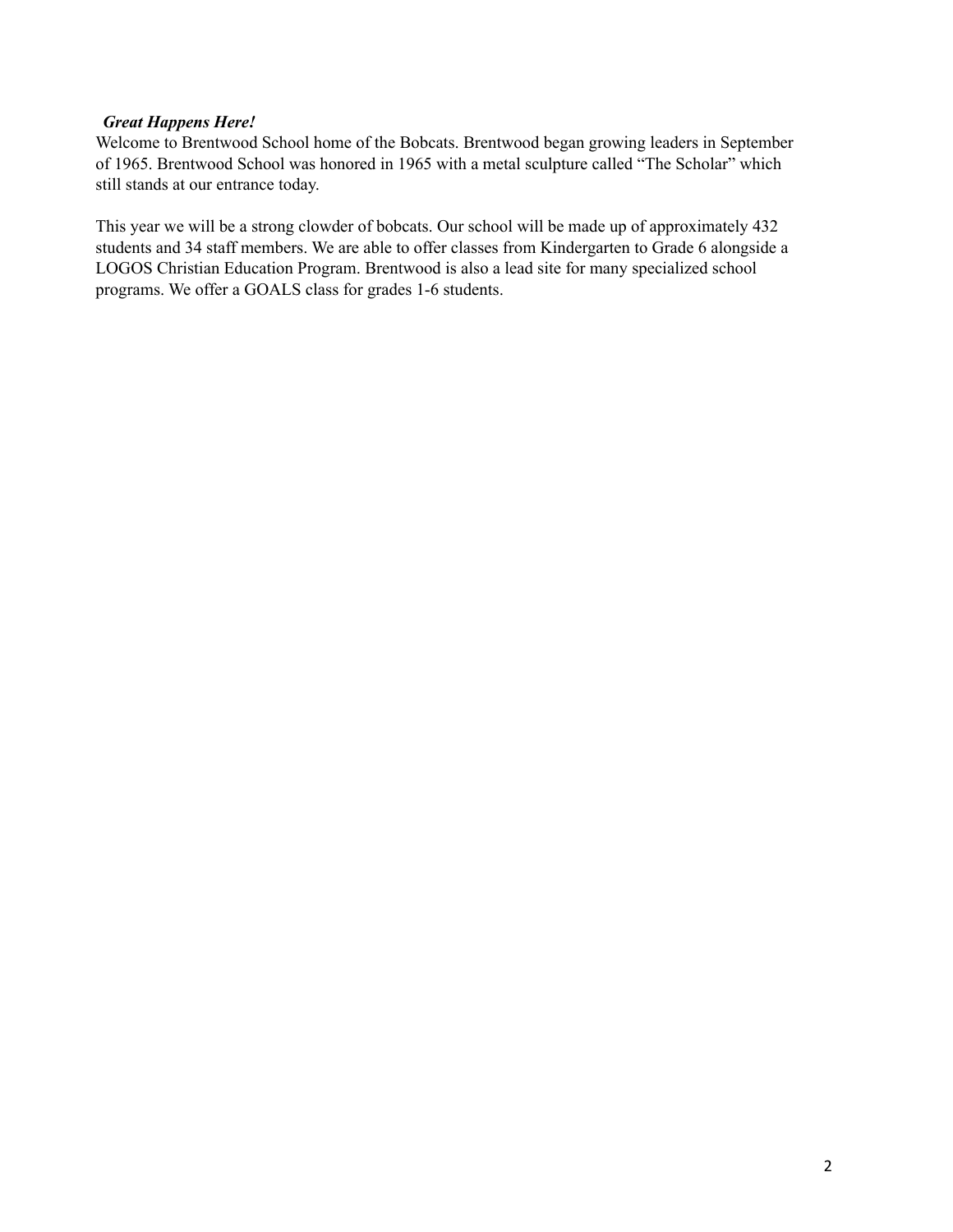#### *Great Happens Here!*

Welcome to Brentwood School home of the Bobcats. Brentwood began growing leaders in September of 1965. Brentwood School was honored in 1965 with a metal sculpture called "The Scholar" which still stands at our entrance today.

This year we will be a strong clowder of bobcats. Our school will be made up of approximately 432 students and 34 staff members. We are able to offer classes from Kindergarten to Grade 6 alongside a LOGOS Christian Education Program. Brentwood is also a lead site for many specialized school programs. We offer a GOALS class for grades 1-6 students.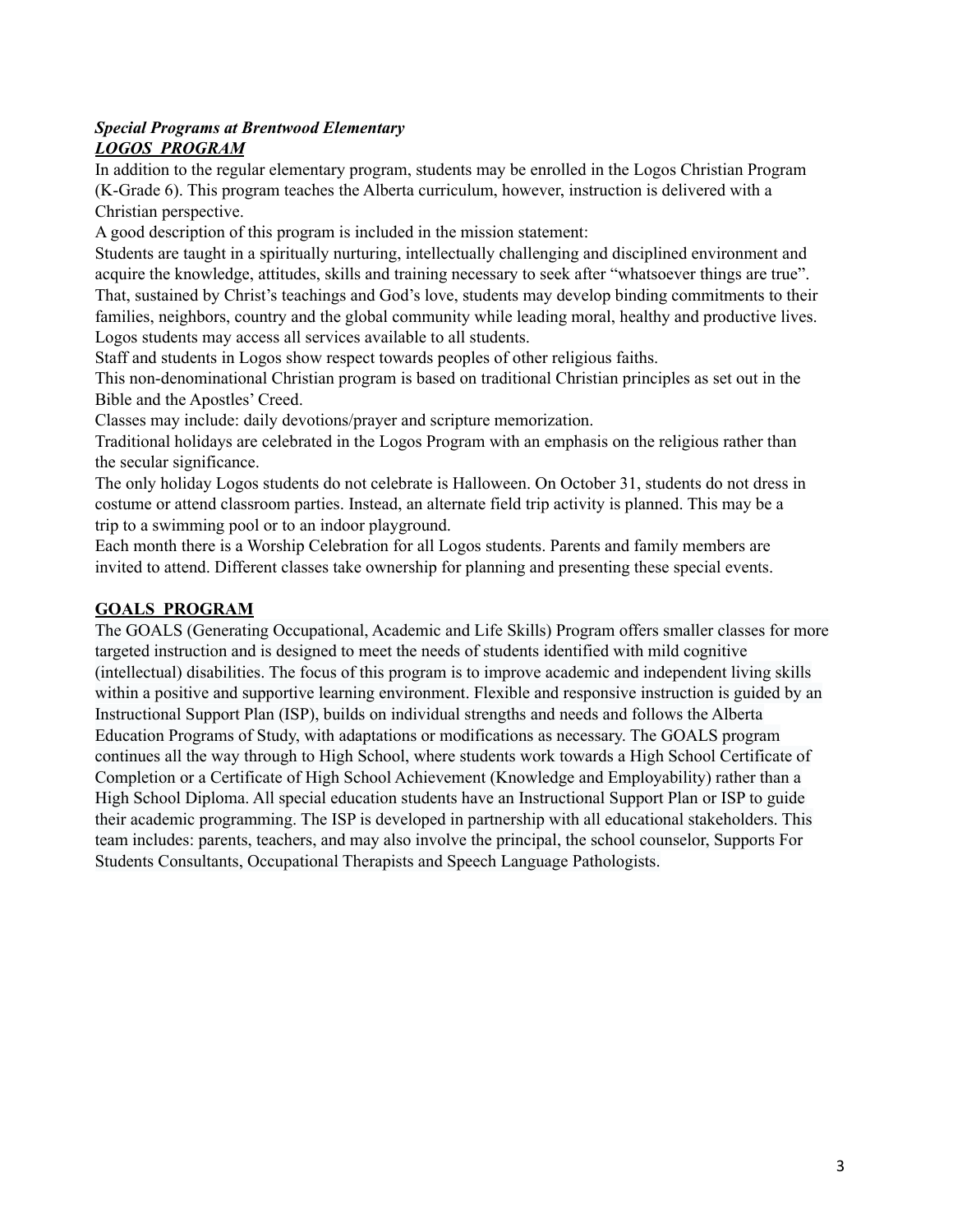#### *Special Programs at Brentwood Elementary LOGOS PROGRAM*

In addition to the regular elementary program, students may be enrolled in the Logos Christian Program (K-Grade 6). This program teaches the Alberta curriculum, however, instruction is delivered with a Christian perspective.

A good description of this program is included in the mission statement:

Students are taught in a spiritually nurturing, intellectually challenging and disciplined environment and acquire the knowledge, attitudes, skills and training necessary to seek after "whatsoever things are true". That, sustained by Christ's teachings and God's love, students may develop binding commitments to their families, neighbors, country and the global community while leading moral, healthy and productive lives. Logos students may access all services available to all students.

Staff and students in Logos show respect towards peoples of other religious faiths.

This non-denominational Christian program is based on traditional Christian principles as set out in the Bible and the Apostles' Creed.

Classes may include: daily devotions/prayer and scripture memorization.

Traditional holidays are celebrated in the Logos Program with an emphasis on the religious rather than the secular significance.

The only holiday Logos students do not celebrate is Halloween. On October 31, students do not dress in costume or attend classroom parties. Instead, an alternate field trip activity is planned. This may be a trip to a swimming pool or to an indoor playground.

Each month there is a Worship Celebration for all Logos students. Parents and family members are invited to attend. Different classes take ownership for planning and presenting these special events.

# **GOALS PROGRAM**

The GOALS (Generating Occupational, Academic and Life Skills) Program offers smaller classes for more targeted instruction and is designed to meet the needs of students identified with mild cognitive (intellectual) disabilities. The focus of this program is to improve academic and independent living skills within a positive and supportive learning environment. Flexible and responsive instruction is guided by an Instructional Support Plan (ISP), builds on individual strengths and needs and follows the Alberta Education Programs of Study, with adaptations or modifications as necessary. The GOALS program continues all the way through to High School, where students work towards a High School Certificate of Completion or a Certificate of High School Achievement (Knowledge and Employability) rather than a High School Diploma. All special education students have an Instructional Support Plan or ISP to guide their academic programming. The ISP is developed in partnership with all educational stakeholders. This team includes: parents, teachers, and may also involve the principal, the school counselor, Supports For Students Consultants, Occupational Therapists and Speech Language Pathologists.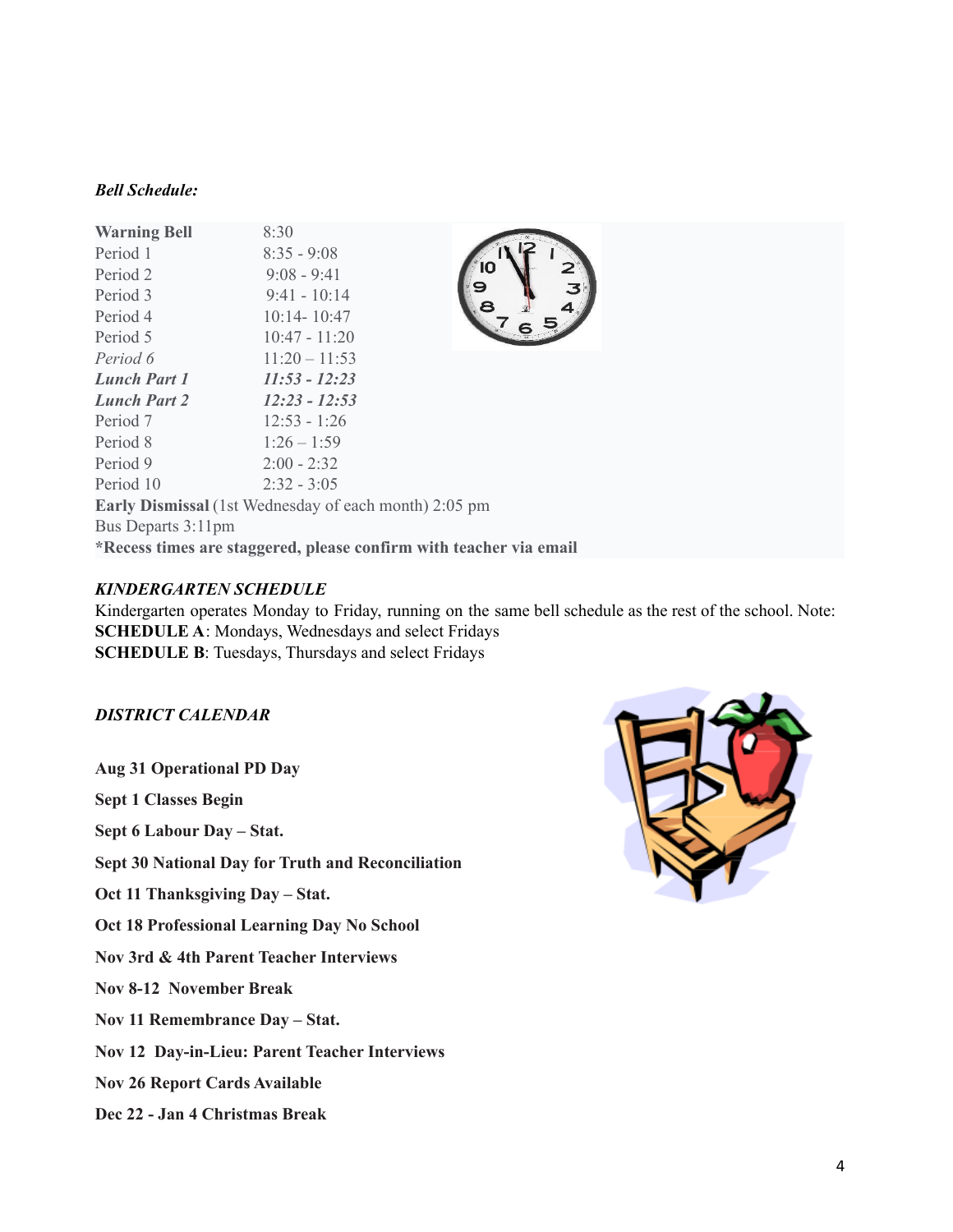#### *Bell Schedule:*

| <b>Warning Bell</b>                                                | 8:30            |    |
|--------------------------------------------------------------------|-----------------|----|
| Period 1                                                           | $8:35 - 9:08$   |    |
| Period 2                                                           | $9:08 - 9:41$   | IO |
| Period 3                                                           | $9:41 - 10:14$  |    |
| Period 4                                                           | $10:14 - 10:47$ |    |
| Period 5                                                           | $10:47 - 11:20$ |    |
| Period 6                                                           | $11:20 - 11:53$ |    |
| <b>Lunch Part 1</b>                                                | $11:53 - 12:23$ |    |
| <b>Lunch Part 2</b>                                                | $12:23 - 12:53$ |    |
| Period 7                                                           | $12:53 - 1:26$  |    |
| Period 8                                                           | $1:26-1:59$     |    |
| Period 9                                                           | $2:00 - 2:32$   |    |
| Period 10                                                          | $2:32 - 3:05$   |    |
| <b>Early Dismissal</b> (1st Wednesday of each month) 2:05 pm       |                 |    |
| Bus Departs 3:11pm                                                 |                 |    |
| *Recess times are staggered, please confirm with teacher via email |                 |    |

#### *KINDERGARTEN SCHEDULE*

Kindergarten operates Monday to Friday, running on the same bell schedule as the rest of the school. Note: **SCHEDULE A**: Mondays, Wednesdays and select Fridays **SCHEDULE B**: Tuesdays, Thursdays and select Fridays

## *DISTRICT CALENDAR*

**Aug 31 Operational PD Day**

**Sept 1 Classes Begin**

**Sept 6 Labour Day – Stat.**

**Sept 30 National Day for Truth and Reconciliation**

**Oct 11 Thanksgiving Day – Stat.**

**Oct 18 Professional Learning Day No School**

**Nov 3rd & 4th Parent Teacher Interviews**

**Nov 8-12 November Break**

**Nov 11 Remembrance Day – Stat.**

**Nov 12 Day-in-Lieu: Parent Teacher Interviews**

**Nov 26 Report Cards Available**

**Dec 22 - Jan 4 Christmas Break**

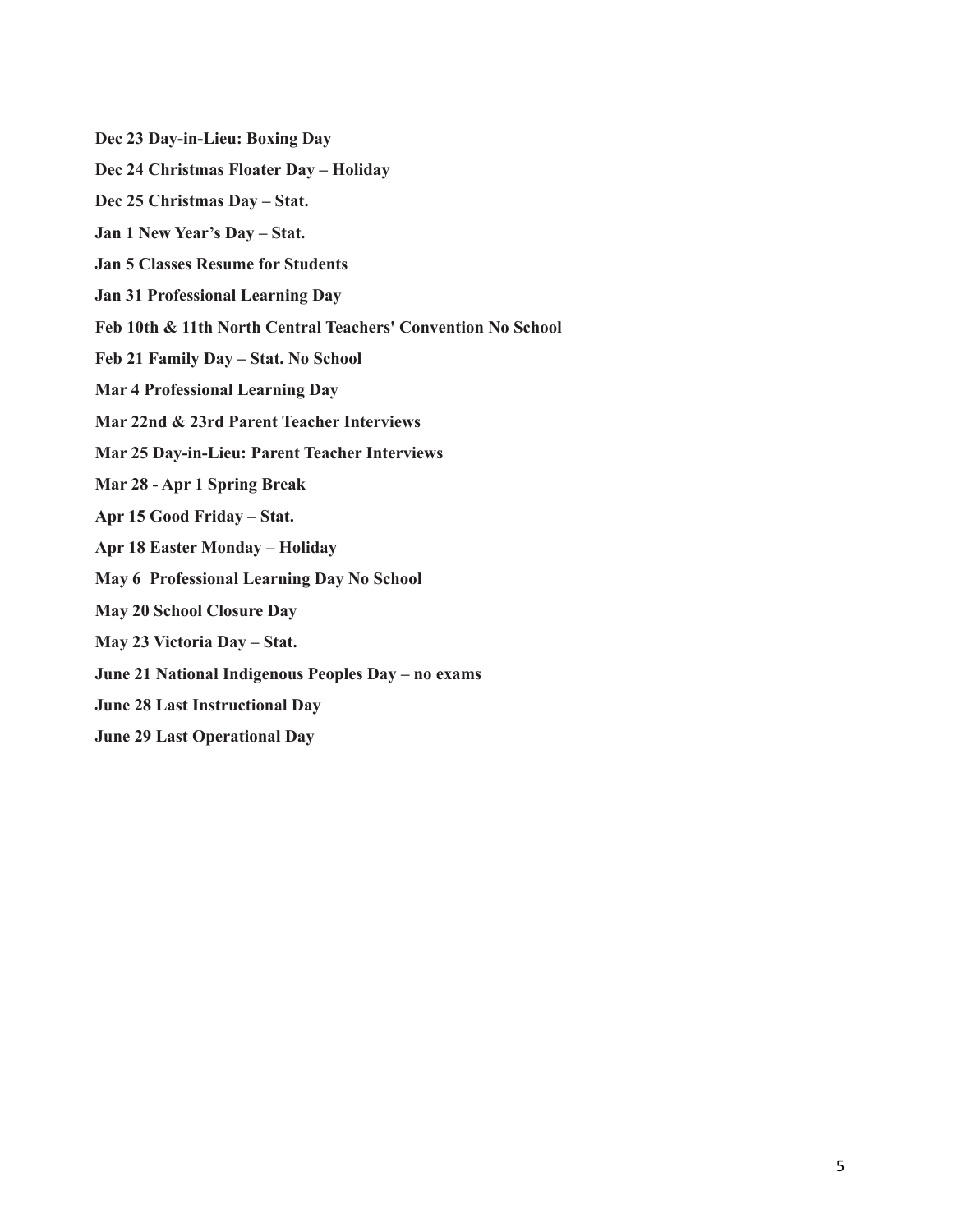**Dec 23 Day-in-Lieu: Boxing Day Dec 24 Christmas Floater Day – Holiday Dec 25 Christmas Day – Stat. Jan 1 New Year's Day – Stat. Jan 5 Classes Resume for Students Jan 31 Professional Learning Day Feb 10th & 11th North Central Teachers' Convention No School Feb 21 Family Day – Stat. No School Mar 4 Professional Learning Day Mar 22nd & 23rd Parent Teacher Interviews Mar 25 Day-in-Lieu: Parent Teacher Interviews Mar 28 - Apr 1 Spring Break Apr 15 Good Friday – Stat. Apr 18 Easter Monday – Holiday May 6 Professional Learning Day No School May 20 School Closure Day May 23 Victoria Day – Stat. June 21 National Indigenous Peoples Day – no exams June 28 Last Instructional Day June 29 Last Operational Day**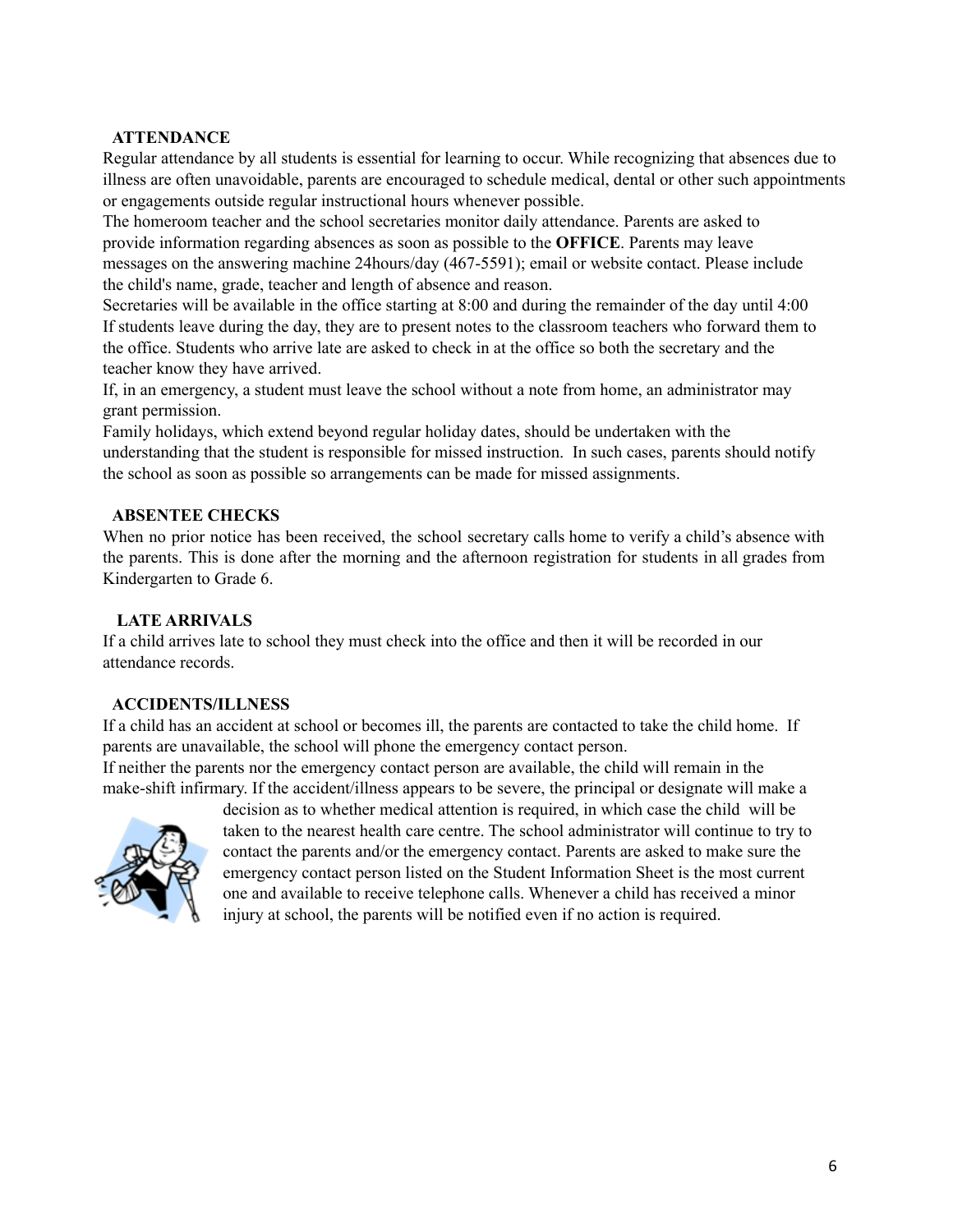## **ATTENDANCE**

Regular attendance by all students is essential for learning to occur. While recognizing that absences due to illness are often unavoidable, parents are encouraged to schedule medical, dental or other such appointments or engagements outside regular instructional hours whenever possible.

The homeroom teacher and the school secretaries monitor daily attendance. Parents are asked to provide information regarding absences as soon as possible to the **OFFICE**. Parents may leave messages on the answering machine 24hours/day (467-5591); email or website contact. Please include the child's name, grade, teacher and length of absence and reason.

Secretaries will be available in the office starting at 8:00 and during the remainder of the day until 4:00 If students leave during the day, they are to present notes to the classroom teachers who forward them to the office. Students who arrive late are asked to check in at the office so both the secretary and the teacher know they have arrived.

If, in an emergency, a student must leave the school without a note from home, an administrator may grant permission.

Family holidays, which extend beyond regular holiday dates, should be undertaken with the understanding that the student is responsible for missed instruction. In such cases, parents should notify the school as soon as possible so arrangements can be made for missed assignments.

#### **ABSENTEE CHECKS**

When no prior notice has been received, the school secretary calls home to verify a child's absence with the parents. This is done after the morning and the afternoon registration for students in all grades from Kindergarten to Grade 6.

## **LATE ARRIVALS**

If a child arrives late to school they must check into the office and then it will be recorded in our attendance records.

## **ACCIDENTS/ILLNESS**

If a child has an accident at school or becomes ill, the parents are contacted to take the child home. If parents are unavailable, the school will phone the emergency contact person.

If neither the parents nor the emergency contact person are available, the child will remain in the make-shift infirmary. If the accident/illness appears to be severe, the principal or designate will make a



decision as to whether medical attention is required, in which case the child will be taken to the nearest health care centre. The school administrator will continue to try to contact the parents and/or the emergency contact. Parents are asked to make sure the emergency contact person listed on the Student Information Sheet is the most current one and available to receive telephone calls. Whenever a child has received a minor injury at school, the parents will be notified even if no action is required.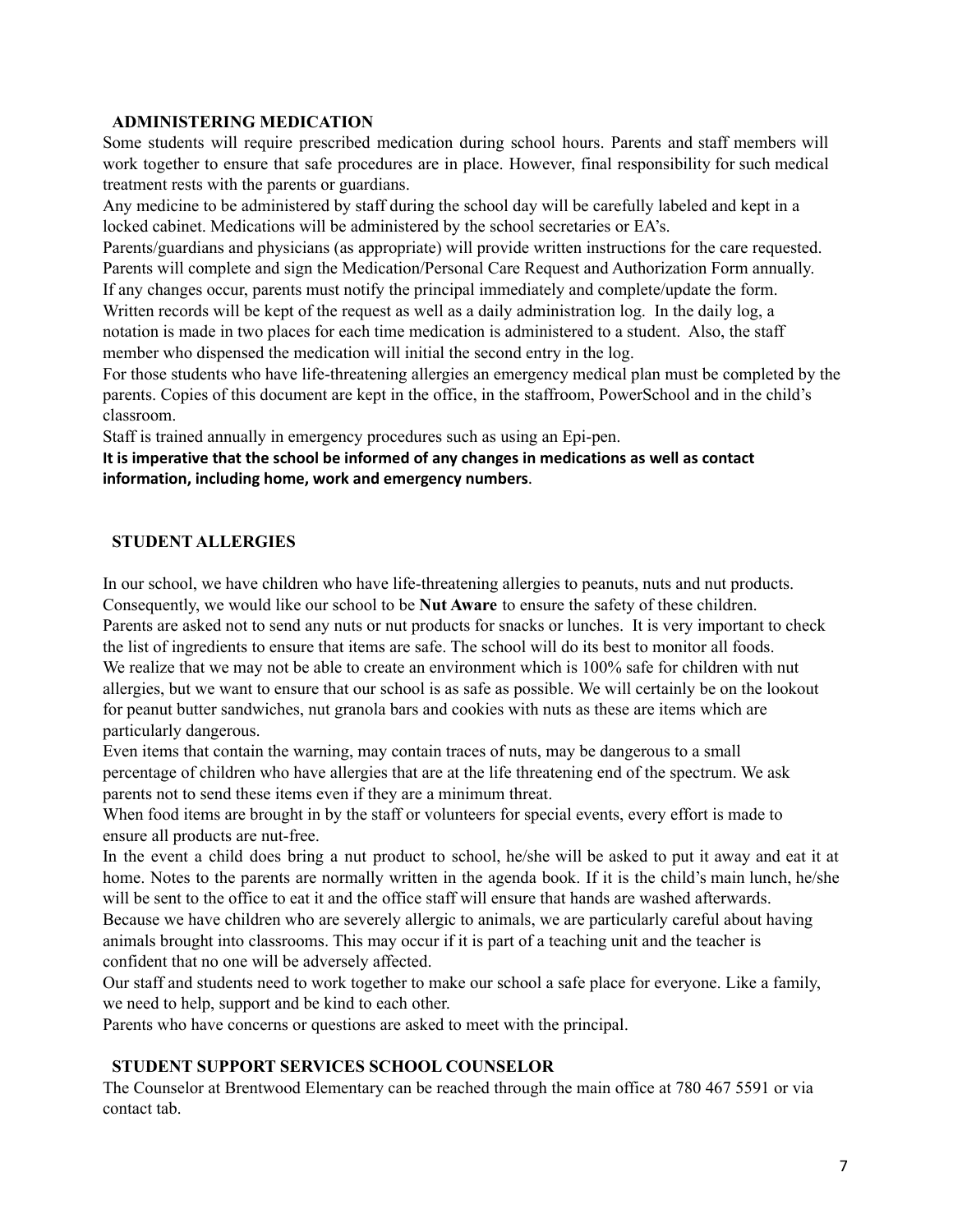#### **ADMINISTERING MEDICATION**

Some students will require prescribed medication during school hours. Parents and staff members will work together to ensure that safe procedures are in place. However, final responsibility for such medical treatment rests with the parents or guardians.

Any medicine to be administered by staff during the school day will be carefully labeled and kept in a locked cabinet. Medications will be administered by the school secretaries or EA's.

Parents/guardians and physicians (as appropriate) will provide written instructions for the care requested. Parents will complete and sign the Medication/Personal Care Request and Authorization Form annually. If any changes occur, parents must notify the principal immediately and complete/update the form.

Written records will be kept of the request as well as a daily administration log. In the daily log, a notation is made in two places for each time medication is administered to a student. Also, the staff member who dispensed the medication will initial the second entry in the log.

For those students who have life-threatening allergies an emergency medical plan must be completed by the parents. Copies of this document are kept in the office, in the staffroom, PowerSchool and in the child's classroom.

Staff is trained annually in emergency procedures such as using an Epi-pen.

**It is imperative that the school be informed of any changes in medications as well as contact information, including home, work and emergency numbers**.

#### **STUDENT ALLERGIES**

In our school, we have children who have life-threatening allergies to peanuts, nuts and nut products. Consequently, we would like our school to be **Nut Aware** to ensure the safety of these children. Parents are asked not to send any nuts or nut products for snacks or lunches. It is very important to check the list of ingredients to ensure that items are safe. The school will do its best to monitor all foods. We realize that we may not be able to create an environment which is 100% safe for children with nut allergies, but we want to ensure that our school is as safe as possible. We will certainly be on the lookout for peanut butter sandwiches, nut granola bars and cookies with nuts as these are items which are particularly dangerous.

Even items that contain the warning, may contain traces of nuts, may be dangerous to a small percentage of children who have allergies that are at the life threatening end of the spectrum. We ask parents not to send these items even if they are a minimum threat.

When food items are brought in by the staff or volunteers for special events, every effort is made to ensure all products are nut-free.

In the event a child does bring a nut product to school, he/she will be asked to put it away and eat it at home. Notes to the parents are normally written in the agenda book. If it is the child's main lunch, he/she will be sent to the office to eat it and the office staff will ensure that hands are washed afterwards. Because we have children who are severely allergic to animals, we are particularly careful about having animals brought into classrooms. This may occur if it is part of a teaching unit and the teacher is confident that no one will be adversely affected.

Our staff and students need to work together to make our school a safe place for everyone. Like a family, we need to help, support and be kind to each other.

Parents who have concerns or questions are asked to meet with the principal.

#### **STUDENT SUPPORT SERVICES SCHOOL COUNSELOR**

The Counselor at Brentwood Elementary can be reached through the main office at 780 467 5591 or via contact tab.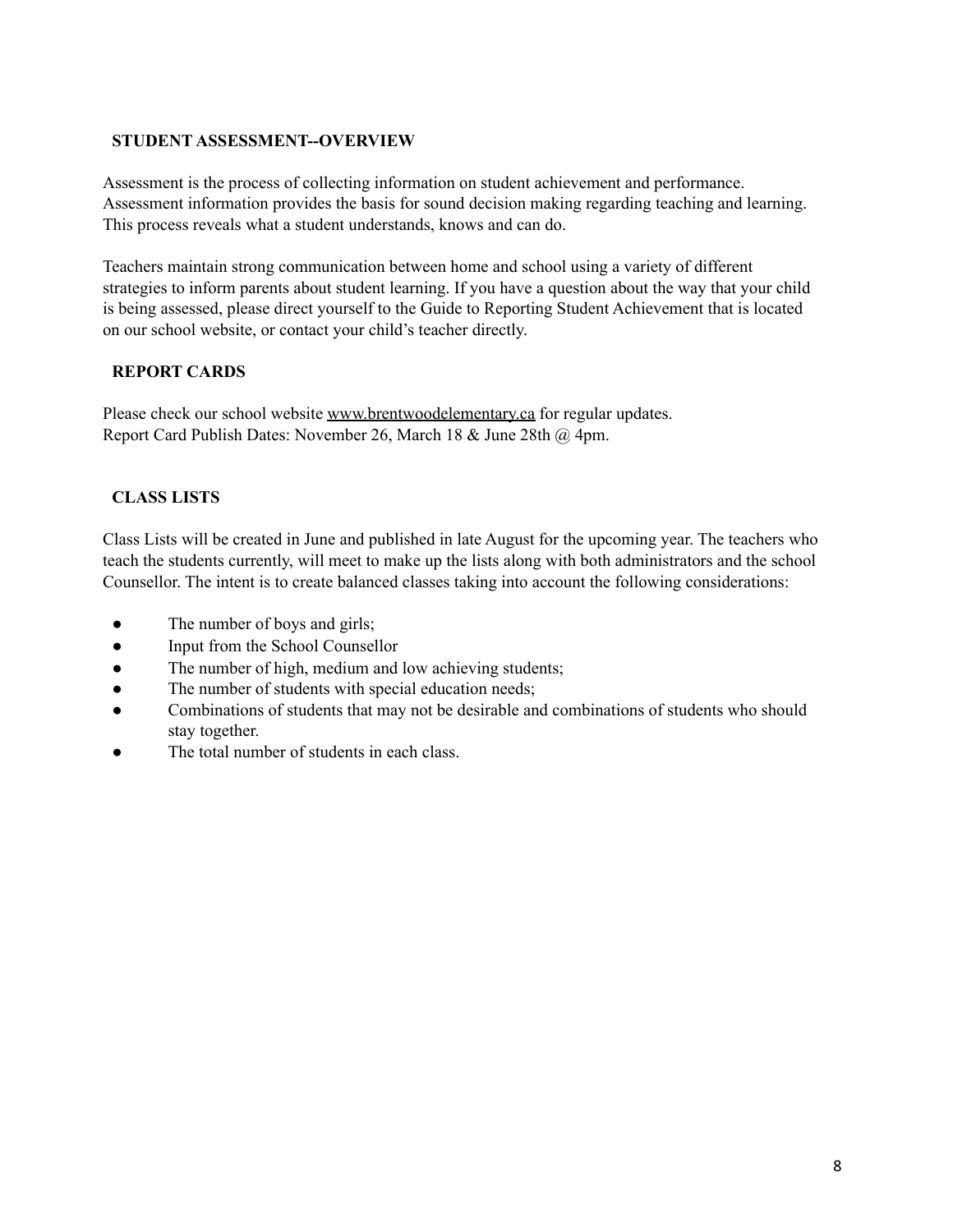## **STUDENT ASSESSMENT--OVERVIEW**

Assessment is the process of collecting information on student achievement and performance. Assessment information provides the basis for sound decision making regarding teaching and learning. This process reveals what a student understands, knows and can do.

Teachers maintain strong communication between home and school using a variety of different strategies to inform parents about student learning. If you have a question about the way that your child is being assessed, please direct yourself to the Guide to Reporting Student Achievement that is located on our school website, or contact your child's teacher directly.

# **REPORT CARDS**

Please check our school website [www.brentwoodelementary.ca](http://www.brentwoodelementary.ca/) for regular updates. Report Card Publish Dates: November 26, March 18 & June 28th @ 4pm.

# **CLASS LISTS**

Class Lists will be created in June and published in late August for the upcoming year. The teachers who teach the students currently, will meet to make up the lists along with both administrators and the school Counsellor. The intent is to create balanced classes taking into account the following considerations:

- The number of boys and girls;
- Input from the School Counsellor
- The number of high, medium and low achieving students;
- The number of students with special education needs;
- Combinations of students that may not be desirable and combinations of students who should stay together.
- The total number of students in each class.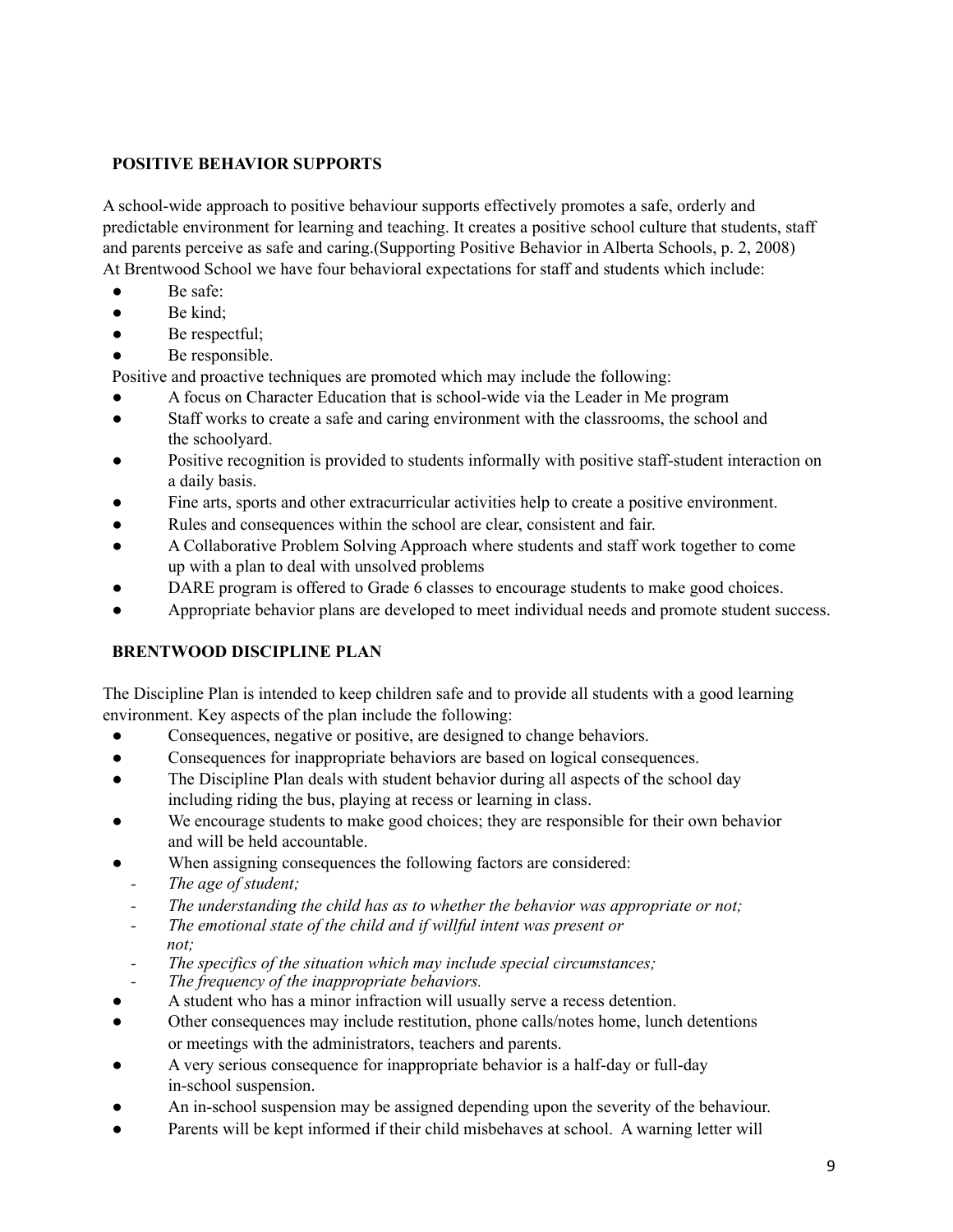# **POSITIVE BEHAVIOR SUPPORTS**

A school-wide approach to positive behaviour supports effectively promotes a safe, orderly and predictable environment for learning and teaching. It creates a positive school culture that students, staff and parents perceive as safe and caring.(Supporting Positive Behavior in Alberta Schools, p. 2, 2008) At Brentwood School we have four behavioral expectations for staff and students which include:

- Be safe:
- $\bullet$  Be kind:
- $\bullet$  Be respectful;
- Be responsible.

Positive and proactive techniques are promoted which may include the following:

- A focus on Character Education that is school-wide via the Leader in Me program
- Staff works to create a safe and caring environment with the classrooms, the school and the schoolyard.
- Positive recognition is provided to students informally with positive staff-student interaction on a daily basis.
- Fine arts, sports and other extracurricular activities help to create a positive environment.
- Rules and consequences within the school are clear, consistent and fair.
- A Collaborative Problem Solving Approach where students and staff work together to come up with a plan to deal with unsolved problems
- DARE program is offered to Grade 6 classes to encourage students to make good choices.
- Appropriate behavior plans are developed to meet individual needs and promote student success.

## **BRENTWOOD DISCIPLINE PLAN**

The Discipline Plan is intended to keep children safe and to provide all students with a good learning environment. Key aspects of the plan include the following:

- Consequences, negative or positive, are designed to change behaviors.
- Consequences for inappropriate behaviors are based on logical consequences.
- The Discipline Plan deals with student behavior during all aspects of the school day including riding the bus, playing at recess or learning in class.
- We encourage students to make good choices; they are responsible for their own behavior and will be held accountable.
- When assigning consequences the following factors are considered:
- *- The age of student;*
- *- The understanding the child has as to whether the behavior was appropriate or not;*
- *- The emotional state of the child and if willful intent was present or not;*
- *- The specifics of the situation which may include special circumstances;*
- *- The frequency of the inappropriate behaviors.*
- A student who has a minor infraction will usually serve a recess detention.
- Other consequences may include restitution, phone calls/notes home, lunch detentions or meetings with the administrators, teachers and parents.
- A very serious consequence for inappropriate behavior is a half-day or full-day in-school suspension.
- An in-school suspension may be assigned depending upon the severity of the behaviour.
- Parents will be kept informed if their child misbehaves at school. A warning letter will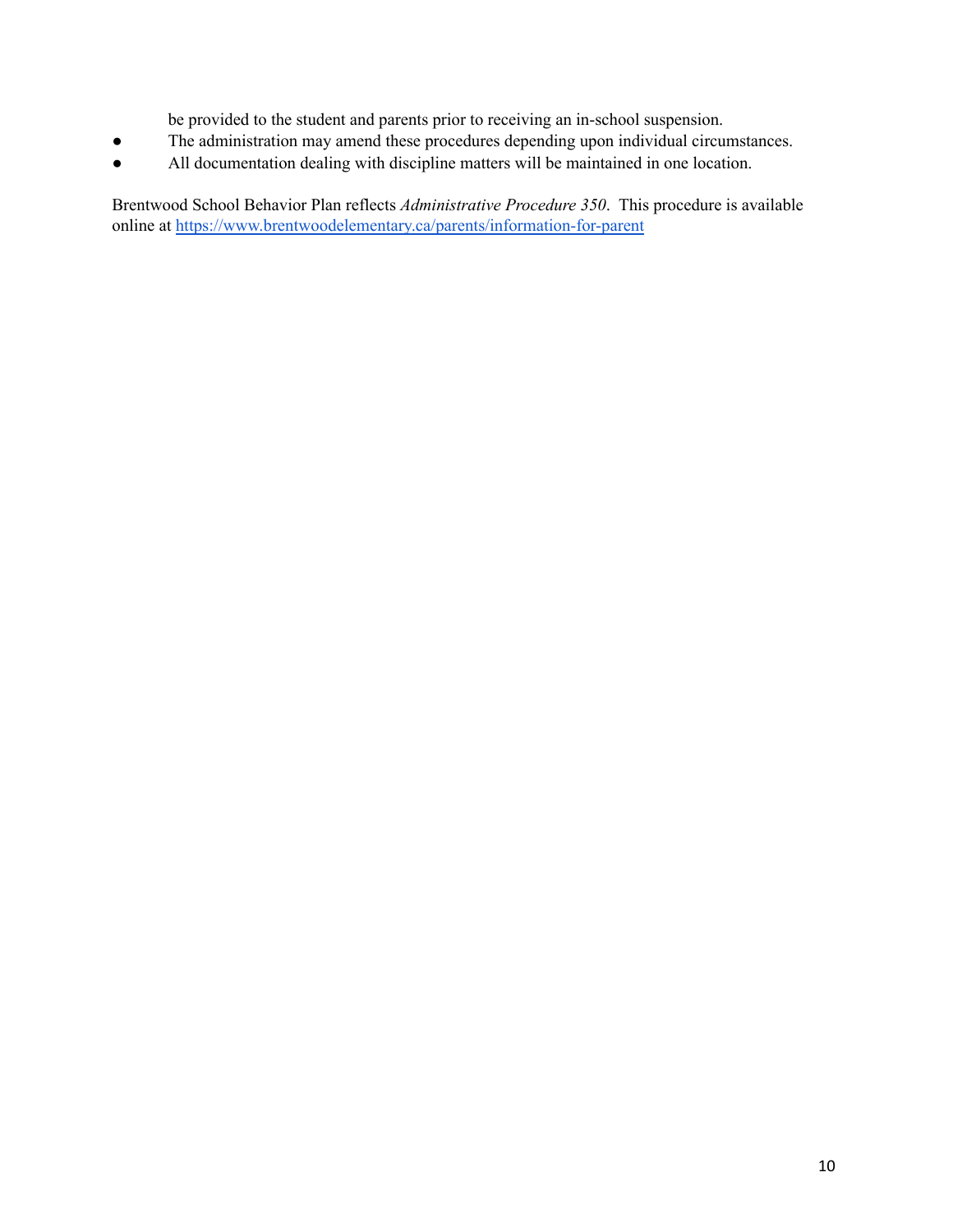be provided to the student and parents prior to receiving an in-school suspension.

- The administration may amend these procedures depending upon individual circumstances.
- All documentation dealing with discipline matters will be maintained in one location.

Brentwood School Behavior Plan reflects *Administrative Procedure 350*. This procedure is available online a[t](http://millshaven.ca/about/behaviour-plans) [https://www.brentwoodelementary.ca/parents/information-for-parent](https://www.brentwoodelementary.ca/parents/information-for-parents)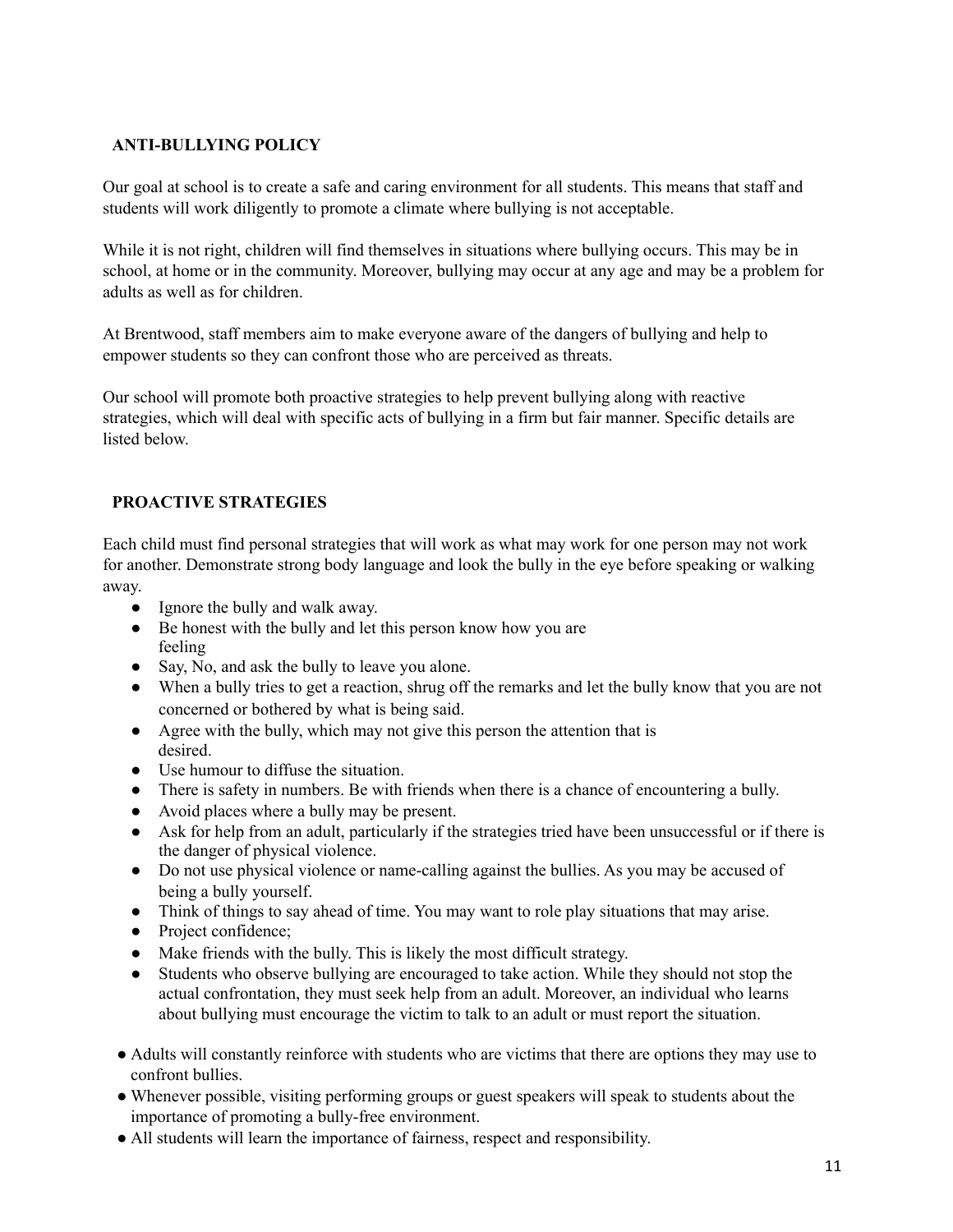# **ANTI-BULLYING POLICY**

Our goal at school is to create a safe and caring environment for all students. This means that staff and students will work diligently to promote a climate where bullying is not acceptable.

While it is not right, children will find themselves in situations where bullying occurs. This may be in school, at home or in the community. Moreover, bullying may occur at any age and may be a problem for adults as well as for children.

At Brentwood, staff members aim to make everyone aware of the dangers of bullying and help to empower students so they can confront those who are perceived as threats.

Our school will promote both proactive strategies to help prevent bullying along with reactive strategies, which will deal with specific acts of bullying in a firm but fair manner. Specific details are listed below.

# **PROACTIVE STRATEGIES**

Each child must find personal strategies that will work as what may work for one person may not work for another. Demonstrate strong body language and look the bully in the eye before speaking or walking away.

- Ignore the bully and walk away.
- Be honest with the bully and let this person know how you are feeling
- Say, No, and ask the bully to leave you alone.
- When a bully tries to get a reaction, shrug off the remarks and let the bully know that you are not concerned or bothered by what is being said.
- Agree with the bully, which may not give this person the attention that is desired.
- Use humour to diffuse the situation.
- There is safety in numbers. Be with friends when there is a chance of encountering a bully.
- Avoid places where a bully may be present.
- Ask for help from an adult, particularly if the strategies tried have been unsuccessful or if there is the danger of physical violence.
- Do not use physical violence or name-calling against the bullies. As you may be accused of being a bully yourself.
- Think of things to say ahead of time. You may want to role play situations that may arise.
- Project confidence;
- Make friends with the bully. This is likely the most difficult strategy.
- Students who observe bullying are encouraged to take action. While they should not stop the actual confrontation, they must seek help from an adult. Moreover, an individual who learns about bullying must encourage the victim to talk to an adult or must report the situation.
- Adults will constantly reinforce with students who are victims that there are options they may use to confront bullies.
- Whenever possible, visiting performing groups or guest speakers will speak to students about the importance of promoting a bully-free environment.
- All students will learn the importance of fairness, respect and responsibility.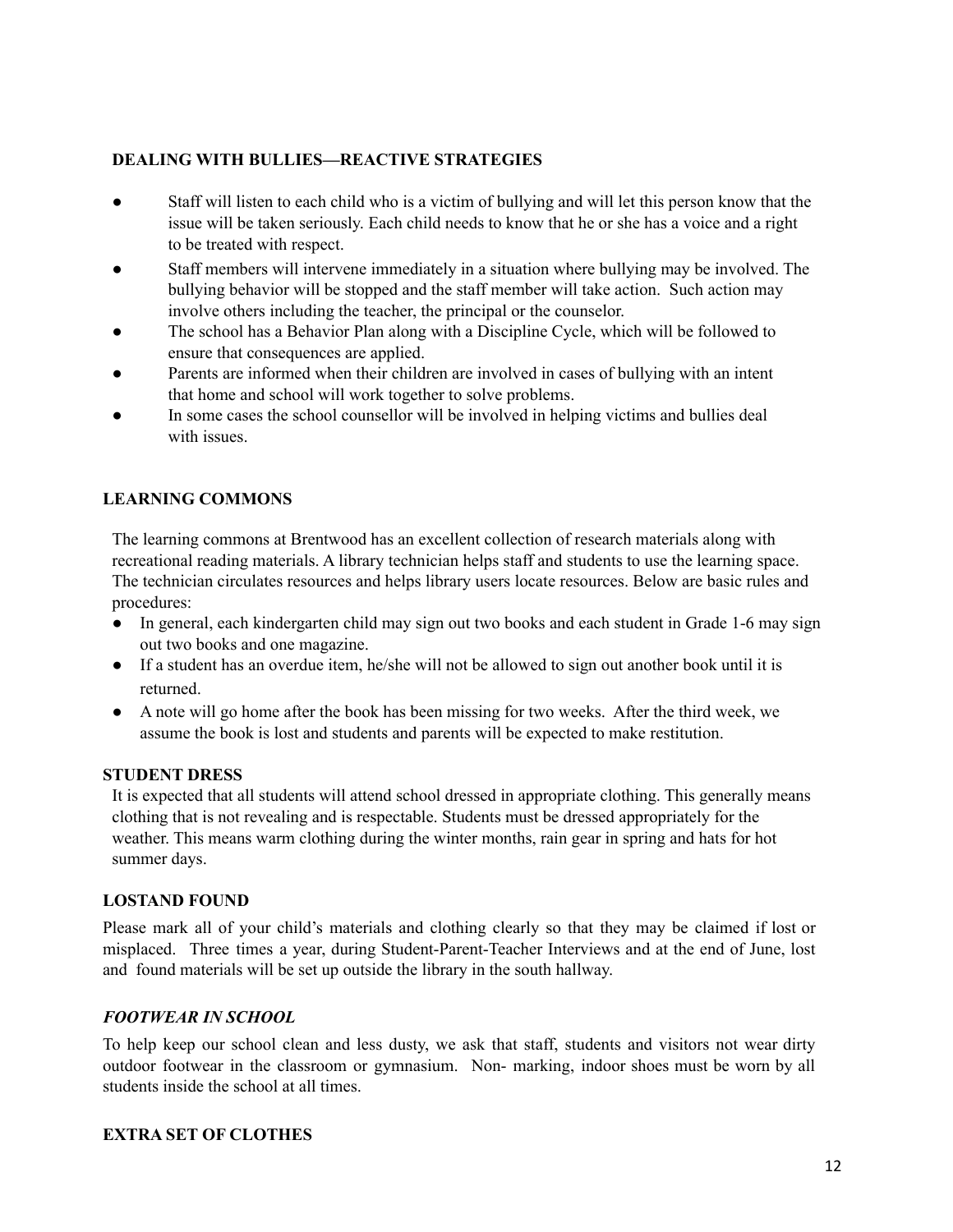## **DEALING WITH BULLIES—REACTIVE STRATEGIES**

- Staff will listen to each child who is a victim of bullying and will let this person know that the issue will be taken seriously. Each child needs to know that he or she has a voice and a right to be treated with respect.
- Staff members will intervene immediately in a situation where bullying may be involved. The bullying behavior will be stopped and the staff member will take action. Such action may involve others including the teacher, the principal or the counselor.
- The school has a Behavior Plan along with a Discipline Cycle, which will be followed to ensure that consequences are applied.
- Parents are informed when their children are involved in cases of bullying with an intent that home and school will work together to solve problems.
- In some cases the school counsellor will be involved in helping victims and bullies deal with issues.

## **LEARNING COMMONS**

The learning commons at Brentwood has an excellent collection of research materials along with recreational reading materials. A library technician helps staff and students to use the learning space. The technician circulates resources and helps library users locate resources. Below are basic rules and procedures:

- In general, each kindergarten child may sign out two books and each student in Grade 1-6 may sign out two books and one magazine.
- If a student has an overdue item, he/she will not be allowed to sign out another book until it is returned.
- A note will go home after the book has been missing for two weeks. After the third week, we assume the book is lost and students and parents will be expected to make restitution.

#### **STUDENT DRESS**

It is expected that all students will attend school dressed in appropriate clothing. This generally means clothing that is not revealing and is respectable. Students must be dressed appropriately for the weather. This means warm clothing during the winter months, rain gear in spring and hats for hot summer days.

#### **LOSTAND FOUND**

Please mark all of your child's materials and clothing clearly so that they may be claimed if lost or misplaced. Three times a year, during Student-Parent-Teacher Interviews and at the end of June, lost and found materials will be set up outside the library in the south hallway.

## *FOOTWEAR IN SCHOOL*

To help keep our school clean and less dusty, we ask that staff, students and visitors not wear dirty outdoor footwear in the classroom or gymnasium. Non- marking, indoor shoes must be worn by all students inside the school at all times.

#### **EXTRA SET OF CLOTHES**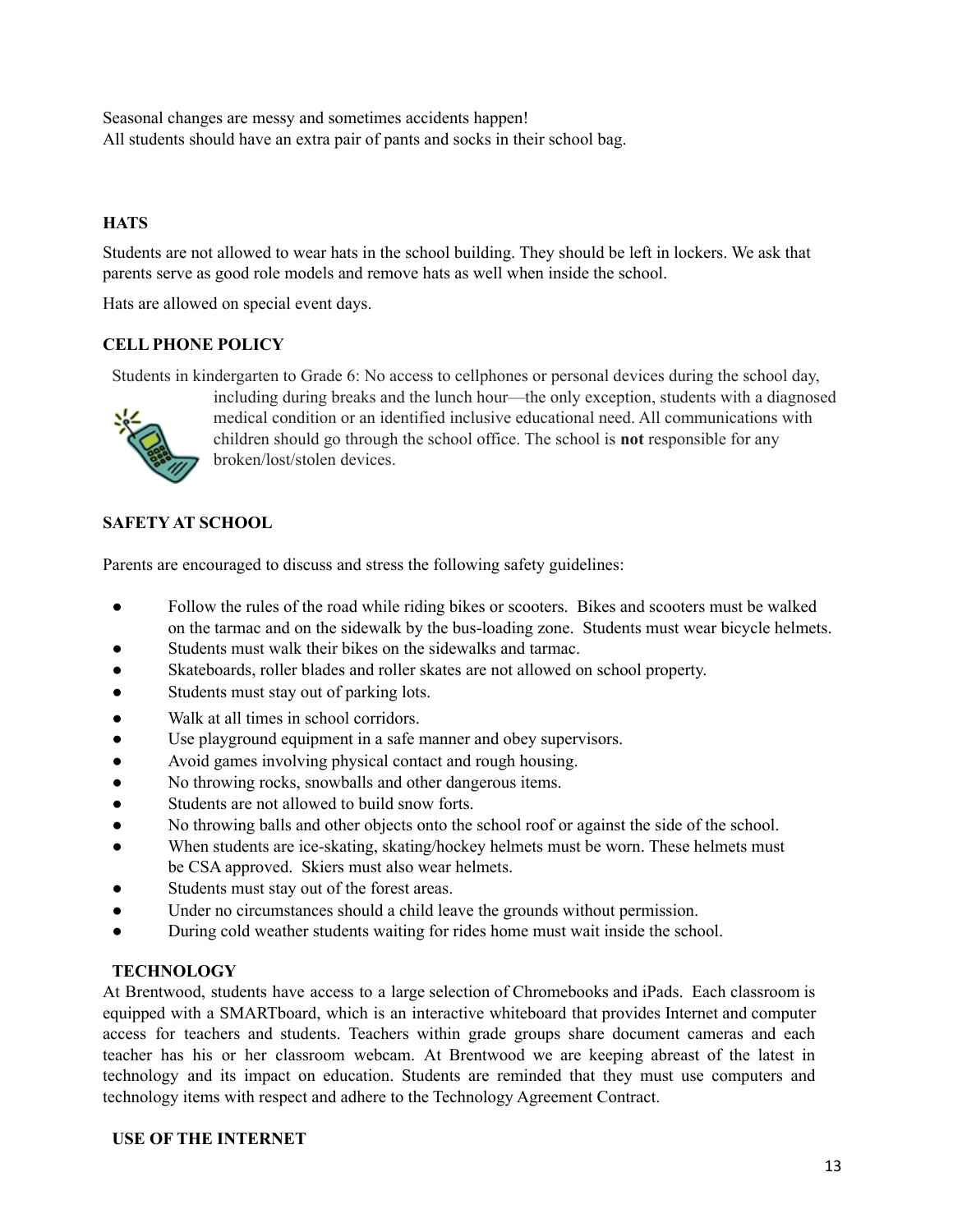Seasonal changes are messy and sometimes accidents happen! All students should have an extra pair of pants and socks in their school bag.

# **HATS**

Students are not allowed to wear hats in the school building. They should be left in lockers. We ask that parents serve as good role models and remove hats as well when inside the school.

Hats are allowed on special event days.

## **CELL PHONE POLICY**

Students in kindergarten to Grade 6: No access to cellphones or personal devices during the school day,



including during breaks and the lunch hour—the only exception, students with a diagnosed medical condition or an identified inclusive educational need. All communications with children should go through the school office. The school is **not** responsible for any broken/lost/stolen devices.

# **SAFETY AT SCHOOL**

Parents are encouraged to discuss and stress the following safety guidelines:

- Follow the rules of the road while riding bikes or scooters. Bikes and scooters must be walked on the tarmac and on the sidewalk by the bus-loading zone. Students must wear bicycle helmets.
- Students must walk their bikes on the sidewalks and tarmac.
- Skateboards, roller blades and roller skates are not allowed on school property.
- Students must stay out of parking lots.
- Walk at all times in school corridors.
- Use playground equipment in a safe manner and obey supervisors.
- Avoid games involving physical contact and rough housing.
- No throwing rocks, snowballs and other dangerous items.
- Students are not allowed to build snow forts.
- No throwing balls and other objects onto the school roof or against the side of the school.
- When students are ice-skating, skating/hockey helmets must be worn. These helmets must be CSA approved. Skiers must also wear helmets.
- Students must stay out of the forest areas.
- Under no circumstances should a child leave the grounds without permission.
- During cold weather students waiting for rides home must wait inside the school.

## **TECHNOLOGY**

At Brentwood, students have access to a large selection of Chromebooks and iPads. Each classroom is equipped with a SMARTboard, which is an interactive whiteboard that provides Internet and computer access for teachers and students. Teachers within grade groups share document cameras and each teacher has his or her classroom webcam. At Brentwood we are keeping abreast of the latest in technology and its impact on education. Students are reminded that they must use computers and technology items with respect and adhere to the Technology Agreement Contract.

#### **USE OF THE INTERNET**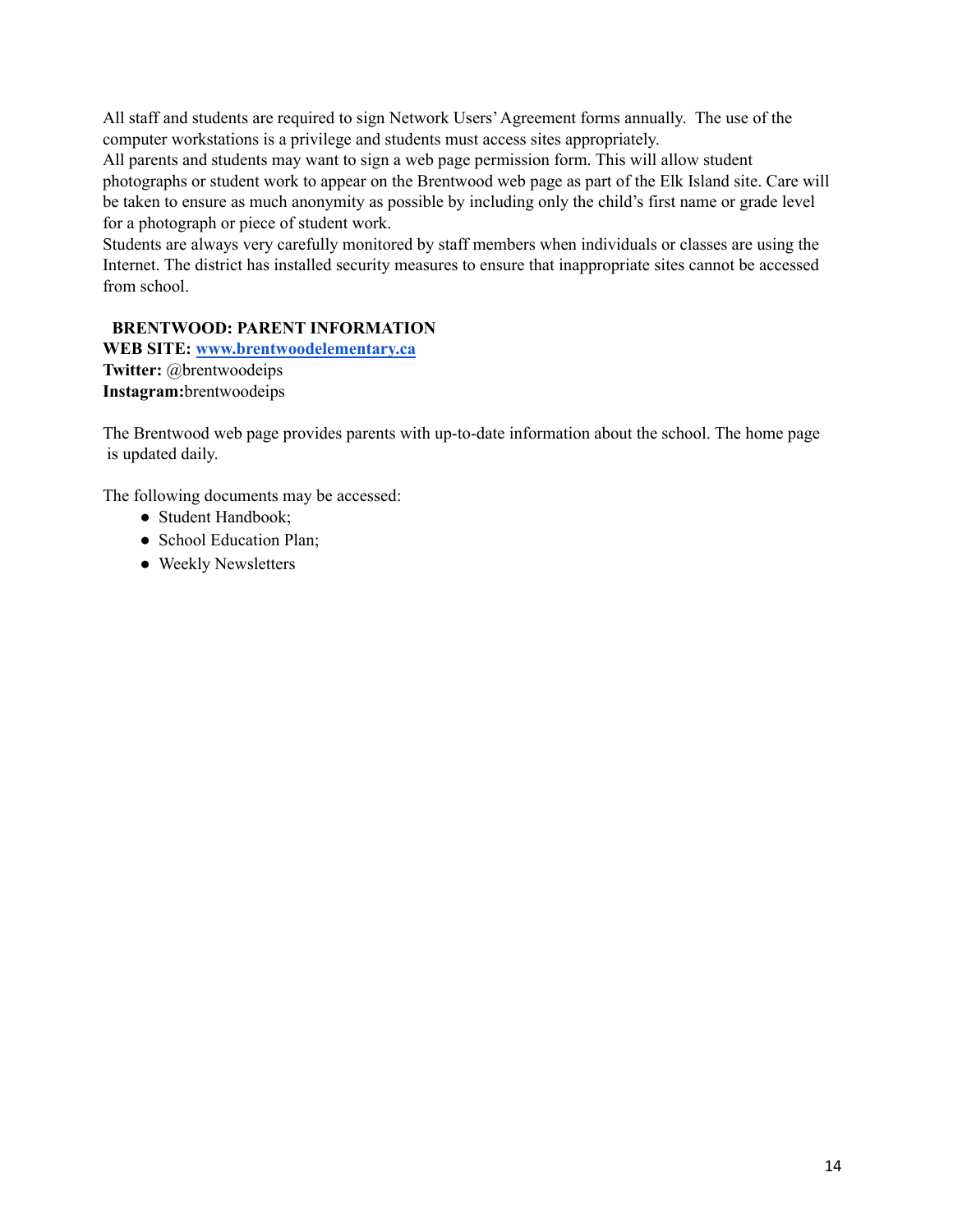All staff and students are required to sign Network Users'Agreement forms annually. The use of the computer workstations is a privilege and students must access sites appropriately.

All parents and students may want to sign a web page permission form. This will allow student photographs or student work to appear on the Brentwood web page as part of the Elk Island site. Care will be taken to ensure as much anonymity as possible by including only the child's first name or grade level for a photograph or piece of student work.

Students are always very carefully monitored by staff members when individuals or classes are using the Internet. The district has installed security measures to ensure that inappropriate sites cannot be accessed from school.

# **BRENTWOOD: PARENT INFORMATION**

**WEB SITE: [www.brentwoodelementary.ca](http://www.brentwoodelementary.ca) Twitter:** @brentwoodeips **Instagram:**brentwoodeips

The Brentwood web page provides parents with up-to-date information about the school. The home page is updated daily.

The following documents may be accessed:

- Student Handbook;
- School Education Plan;
- Weekly Newsletters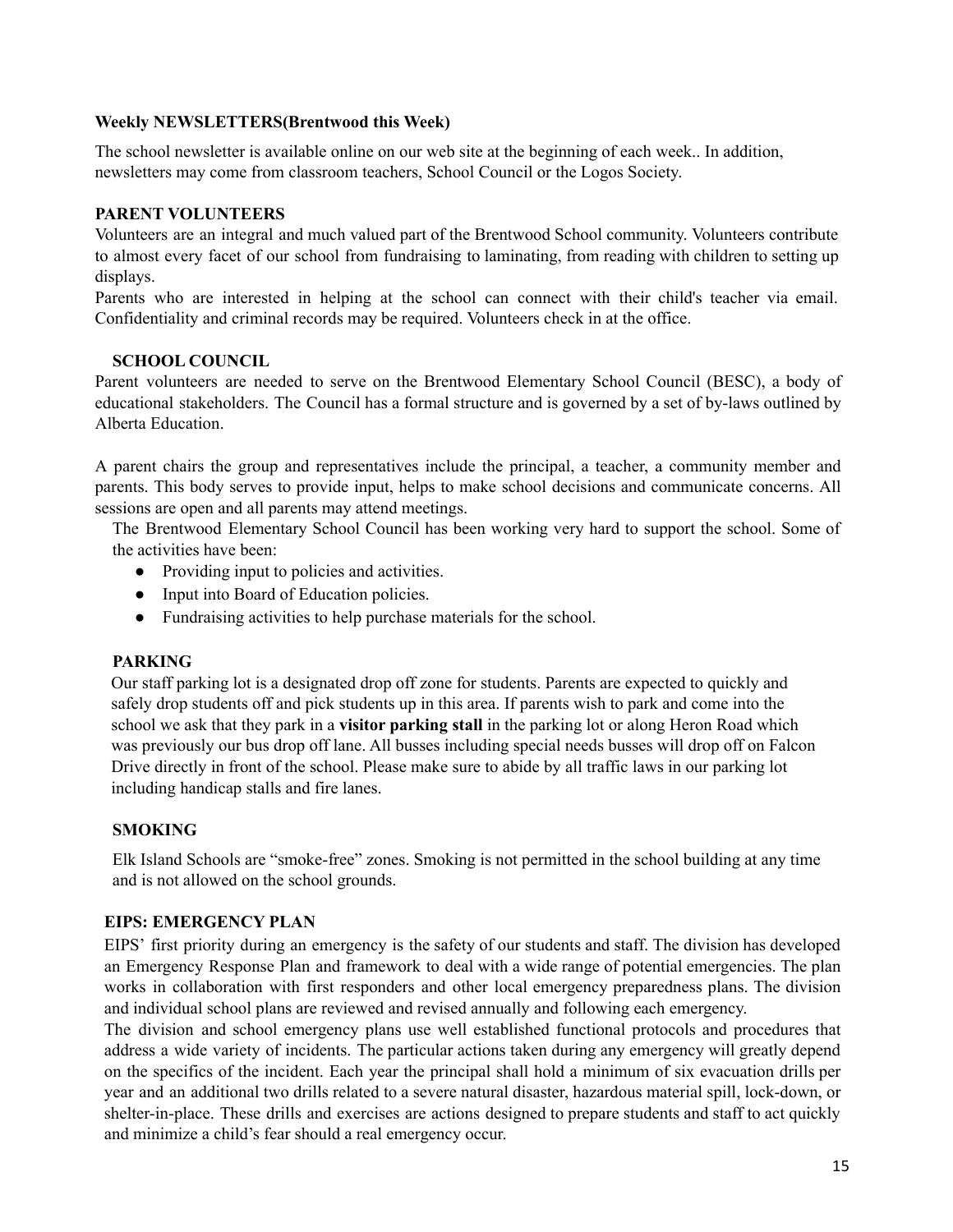#### **Weekly NEWSLETTERS(Brentwood this Week)**

The school newsletter is available online on our web site at the beginning of each week.. In addition, newsletters may come from classroom teachers, School Council or the Logos Society.

## **PARENT VOLUNTEERS**

Volunteers are an integral and much valued part of the Brentwood School community. Volunteers contribute to almost every facet of our school from fundraising to laminating, from reading with children to setting up displays.

Parents who are interested in helping at the school can connect with their child's teacher via email. Confidentiality and criminal records may be required. Volunteers check in at the office.

#### **SCHOOL COUNCIL**

Parent volunteers are needed to serve on the Brentwood Elementary School Council (BESC), a body of educational stakeholders. The Council has a formal structure and is governed by a set of by-laws outlined by Alberta Education.

A parent chairs the group and representatives include the principal, a teacher, a community member and parents. This body serves to provide input, helps to make school decisions and communicate concerns. All sessions are open and all parents may attend meetings.

The Brentwood Elementary School Council has been working very hard to support the school. Some of the activities have been:

- Providing input to policies and activities.
- Input into Board of Education policies.
- Fundraising activities to help purchase materials for the school.

#### **PARKING**

Our staff parking lot is a designated drop off zone for students. Parents are expected to quickly and safely drop students off and pick students up in this area. If parents wish to park and come into the school we ask that they park in a **visitor parking stall** in the parking lot or along Heron Road which was previously our bus drop off lane. All busses including special needs busses will drop off on Falcon Drive directly in front of the school. Please make sure to abide by all traffic laws in our parking lot including handicap stalls and fire lanes.

## **SMOKING**

Elk Island Schools are "smoke-free" zones. Smoking is not permitted in the school building at any time and is not allowed on the school grounds.

#### **EIPS: EMERGENCY PLAN**

EIPS' first priority during an emergency is the safety of our students and staff. The division has developed an Emergency Response Plan and framework to deal with a wide range of potential emergencies. The plan works in collaboration with first responders and other local emergency preparedness plans. The division and individual school plans are reviewed and revised annually and following each emergency.

The division and school emergency plans use well established functional protocols and procedures that address a wide variety of incidents. The particular actions taken during any emergency will greatly depend on the specifics of the incident. Each year the principal shall hold a minimum of six evacuation drills per year and an additional two drills related to a severe natural disaster, hazardous material spill, lock-down, or shelter-in-place. These drills and exercises are actions designed to prepare students and staff to act quickly and minimize a child's fear should a real emergency occur.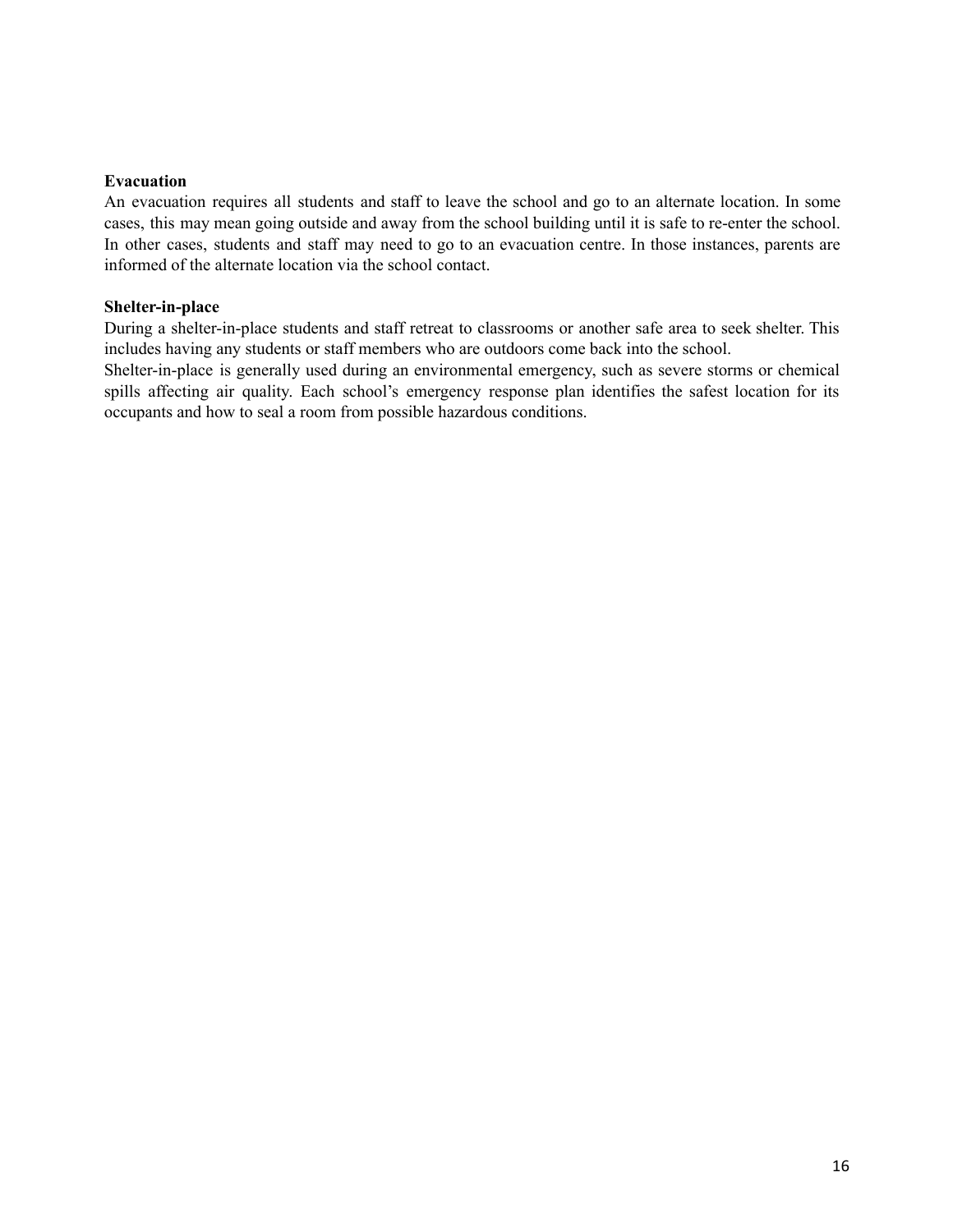#### **Evacuation**

An evacuation requires all students and staff to leave the school and go to an alternate location. In some cases, this may mean going outside and away from the school building until it is safe to re-enter the school. In other cases, students and staff may need to go to an evacuation centre. In those instances, parents are informed of the alternate location via the school contact.

#### **Shelter-in-place**

During a shelter-in-place students and staff retreat to classrooms or another safe area to seek shelter. This includes having any students or staff members who are outdoors come back into the school.

Shelter-in-place is generally used during an environmental emergency, such as severe storms or chemical spills affecting air quality. Each school's emergency response plan identifies the safest location for its occupants and how to seal a room from possible hazardous conditions.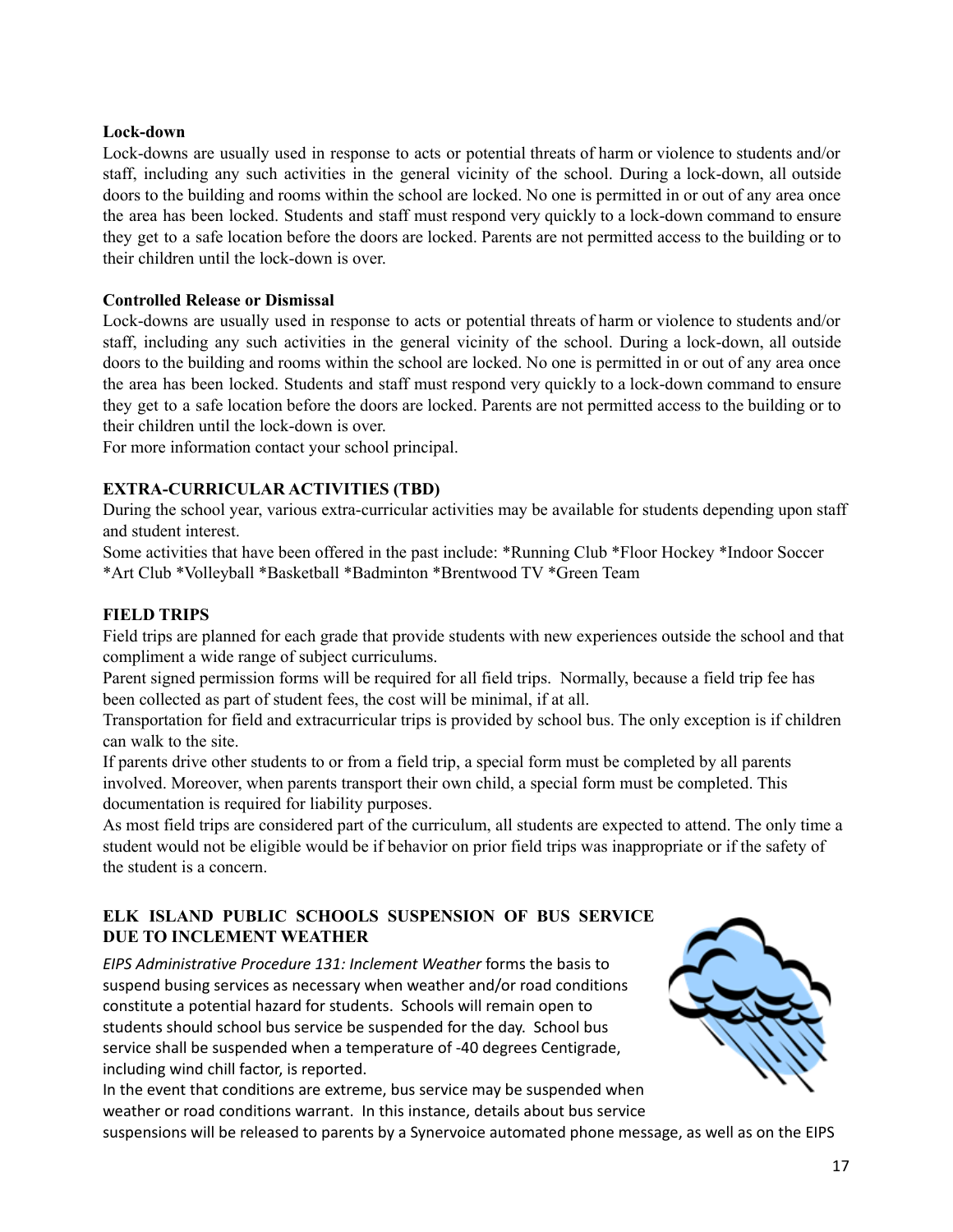## **Lock-down**

Lock-downs are usually used in response to acts or potential threats of harm or violence to students and/or staff, including any such activities in the general vicinity of the school. During a lock-down, all outside doors to the building and rooms within the school are locked. No one is permitted in or out of any area once the area has been locked. Students and staff must respond very quickly to a lock-down command to ensure they get to a safe location before the doors are locked. Parents are not permitted access to the building or to their children until the lock-down is over.

#### **Controlled Release or Dismissal**

Lock-downs are usually used in response to acts or potential threats of harm or violence to students and/or staff, including any such activities in the general vicinity of the school. During a lock-down, all outside doors to the building and rooms within the school are locked. No one is permitted in or out of any area once the area has been locked. Students and staff must respond very quickly to a lock-down command to ensure they get to a safe location before the doors are locked. Parents are not permitted access to the building or to their children until the lock-down is over.

For more information contact your school principal.

## **EXTRA-CURRICULAR ACTIVITIES (TBD)**

During the school year, various extra-curricular activities may be available for students depending upon staff and student interest.

Some activities that have been offered in the past include: \*Running Club \*Floor Hockey \*Indoor Soccer \*Art Club \*Volleyball \*Basketball \*Badminton \*Brentwood TV \*Green Team

## **FIELD TRIPS**

Field trips are planned for each grade that provide students with new experiences outside the school and that compliment a wide range of subject curriculums.

Parent signed permission forms will be required for all field trips. Normally, because a field trip fee has been collected as part of student fees, the cost will be minimal, if at all.

Transportation for field and extracurricular trips is provided by school bus. The only exception is if children can walk to the site.

If parents drive other students to or from a field trip, a special form must be completed by all parents involved. Moreover, when parents transport their own child, a special form must be completed. This documentation is required for liability purposes.

As most field trips are considered part of the curriculum, all students are expected to attend. The only time a student would not be eligible would be if behavior on prior field trips was inappropriate or if the safety of the student is a concern.

# **ELK ISLAND PUBLIC SCHOOLS SUSPENSION OF BUS SERVICE DUE TO INCLEMENT WEATHER**

*EIPS Administrative Procedure 131: Inclement Weather* forms the basis to suspend busing services as necessary when weather and/or road conditions constitute a potential hazard for students. Schools will remain open to students should school bus service be suspended for the day. School bus service shall be suspended when a temperature of -40 degrees Centigrade, including wind chill factor, is reported.

In the event that conditions are extreme, bus service may be suspended when weather or road conditions warrant. In this instance, details about bus service



suspensions will be released to parents by a Synervoice automated phone message, as well as on the EIPS